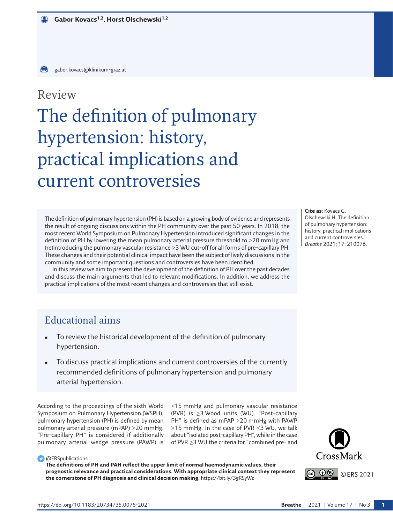# Review

# The definition of pulmonary hypertension: history, practical implications and current controversies

The definition of pulmonary hypertension (PH) is based on a growing body of evidence and represents the result of ongoing discussions within the PH community over the past 50 years. In 2018, the most recent World Symposium on Pulmonary Hypertension introduced significant changes in the definition of PH by lowering the mean pulmonary arterial pressure threshold to >20 mmHg and (re)introducing the pulmonary vascular resistance ≥3 WU cut-off for all forms of pre-capillary PH. These changes and their potential clinical impact have been the subject of lively discussions in the community and some important questions and controversies have been identified.

In this review we aim to present the development of the definition of PH over the past decades and discuss the main arguments that led to relevant modifications. In addition, we address the practical implications of the most recent changes and controversies that still exist.

#### **Cite as**: Kovacs G, Olschewski H. The definition of pulmonary hypertension: history, practical implications and current controversies. *Breathe* 2021; 17: 210076.

# Educational aims

- To review the historical development of the definition of pulmonary hypertension.
- To discuss practical implications and current controversies of the currently recommended definitions of pulmonary hypertension and pulmonary arterial hypertension.

According to the proceedings of the sixth World Symposium on Pulmonary Hypertension (WSPH), pulmonary hypertension (PH) is defined by mean pulmonary arterial pressure (mPAP) >20 mmHg. "Pre-capillary PH" is considered if additionally pulmonary arterial wedge pressure (PAWP) is ≤15 mmHg and pulmonary vascular resistance (PVR) is ≥3 Wood units (WU). "Post-capillary PH" is defined as mPAP >20 mmHg with PAWP >15 mmHg. In the case of PVR <3 WU, we talk about "isolated post-capillary PH", while in the case of PVR ≥3 WU the criteria for "combined pre- and

#### **C** @ERSpublications

**The definitions of PH and PAH reflect the upper limit of normal haemodynamic values, their prognostic relevance and practical considerations. With appropriate clinical context they represent the cornerstone of PH diagnosis and clinical decision making.** <https://bit.ly/3gRSyWz>

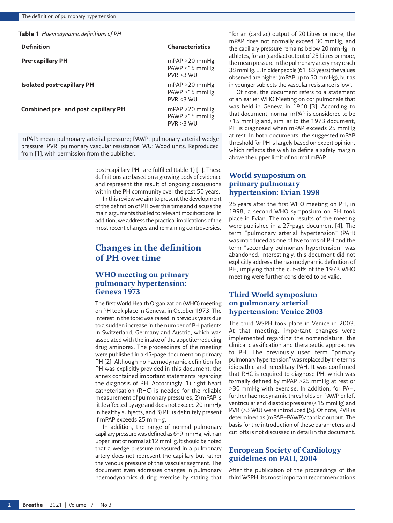<span id="page-1-0"></span>**Table 1** *Haemodynamic definitions of PH*

| <b>Definition</b>                   | <b>Characteristics</b>                                |
|-------------------------------------|-------------------------------------------------------|
| <b>Pre-capillary PH</b>             | $mPAP > 20$ mmHg<br>PAWP $\leq$ 15 mmHg<br>PVR > 3 WU |
| <b>Isolated post-capillary PH</b>   | $mPAP > 20$ mmHg<br>$PAWP > 15$ mmHg<br>$PVR < 3$ WU  |
| Combined pre- and post-capillary PH | $mPAP > 20$ mmHg<br>$PAWP > 15$ mmHg<br>PVR > 3 WU    |

mPAP: mean pulmonary arterial pressure; PAWP: pulmonary arterial wedge pressure; PVR: pulmonary vascular resistance; WU: Wood units. Reproduced from [1], with permission from the publisher.

> post-capillary PH" are fulfilled ([table 1\)](#page-1-0) [\[1\]](#page-7-0). These definitions are based on a growing body of evidence and represent the result of ongoing discussions within the PH community over the past 50 years.

> In this review we aim to present the development of the definition of PH over this time and discuss the main arguments that led to relevant modifications. In addition, we address the practical implications of the most recent changes and remaining controversies.

### **Changes in the definition of PH over time**

#### **WHO meeting on primary pulmonary hypertension: Geneva 1973**

The first World Health Organization (WHO) meeting on PH took place in Geneva, in October 1973. The interest in the topic was raised in previous years due to a sudden increase in the number of PH patients in Switzerland, Germany and Austria, which was associated with the intake of the appetite-reducing drug aminorex. The proceedings of the meeting were published in a 45-page document on primary PH [\[2](#page-7-1)]. Although no haemodynamic definition for PH was explicitly provided in this document, the annex contained important statements regarding the diagnosis of PH. Accordingly, 1) right heart catheterisation (RHC) is needed for the reliable measurement of pulmonary pressures, 2) mPAP is little affected by age and does not exceed 20 mmHg in healthy subjects, and 3) PH is definitely present if mPAP exceeds 25 mmHg.

In addition, the range of normal pulmonary capillary pressure was defined as 6–9 mmHg, with an upper limit of normal at 12 mmHg. It should be noted that a wedge pressure measured in a pulmonary artery does not represent the capillary but rather the venous pressure of this vascular segment. The document even addresses changes in pulmonary haemodynamics during exercise by stating that

"for an (cardiac) output of 20 Litres or more, the mPAP does not normally exceed 30 mmHg, and the capillary pressure remains below 20 mmHg. In athletes, for an (cardiac) output of 25 Litres or more, the mean pressure in the pulmonary artery may reach 38 mmHg. … In older people (61–83 years) the values observed are higher (mPAP up to 50 mmHg), but as in younger subjects the vascular resistance is low".

Of note, the document refers to a statement of an earlier WHO Meeting on cor pulmonale that was held in Geneva in 1960 [[3](#page-7-2)]. According to that document, normal mPAP is considered to be ≤15 mmHg and, similar to the 1973 document, PH is diagnosed when mPAP exceeds 25 mmHg at rest. In both documents, the suggested mPAP threshold for PH is largely based on expert opinion, which reflects the wish to define a safety margin above the upper limit of normal mPAP.

#### **World symposium on primary pulmonary hypertension: Evian 1998**

25 years after the first WHO meeting on PH, in 1998, a second WHO symposium on PH took place in Evian. The main results of the meeting were published in a 27-page document [[4](#page-7-3)]. The term "pulmonary arterial hypertension" (PAH) was introduced as one of five forms of PH and the term "secondary pulmonary hypertension" was abandoned. Interestingly, this document did not explicitly address the haemodynamic definition of PH, implying that the cut-offs of the 1973 WHO meeting were further considered to be valid.

#### **Third World symposium on pulmonary arterial hypertension: Venice 2003**

The third WSPH took place in Venice in 2003. At that meeting, important changes were implemented regarding the nomenclature, the clinical classification and therapeutic approaches to PH. The previously used term "primary pulmonary hypertension" was replaced by the terms idiopathic and hereditary PAH. It was confirmed that RHC is required to diagnose PH, which was formally defined by mPAP >25 mmHg at rest or >30 mmHg with exercise. In addition, for PAH, further haemodynamic thresholds on PAWP or left ventricular end-diastolic pressure (≤15 mmHg) and PVR (>3 WU) were introduced [\[5](#page-7-4)]. Of note, PVR is determined as (mPAP−PAWP)/cardiac output. The basis for the introduction of these parameters and cut-offs is not discussed in detail in the document.

#### **European Society of Cardiology guidelines on PAH, 2004**

After the publication of the proceedings of the third WSPH, its most important recommendations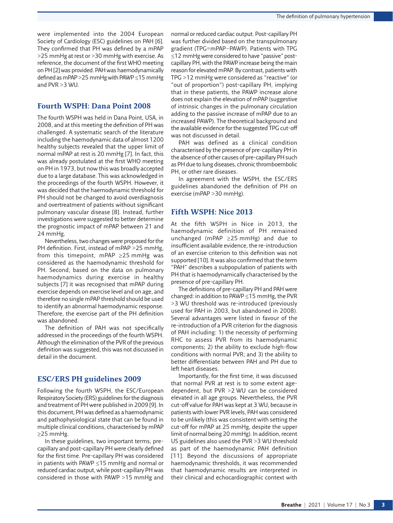were implemented into the 2004 European Society of Cardiology (ESC) guidelines on PAH [\[6](#page-7-5)]. They confirmed that PH was defined by a mPAP >25 mmHg at rest or >30 mmHg with exercise. As reference, the document of the first WHO meeting on PH [\[2](#page-7-1)] was provided. PAH was haemodynamically defined as mPAP >25 mmHg with PAWP ≤15 mmHg and PVR >3 WU.

#### **Fourth WSPH: Dana Point 2008**

The fourth WSPH was held in Dana Point, USA, in 2008, and at this meeting the definition of PH was challenged. A systematic search of the literature including the haemodynamic data of almost 1200 healthy subjects revealed that the upper limit of normal mPAP at rest is 20 mmHg [\[7\]](#page-7-6). In fact, this was already postulated at the first WHO meeting on PH in 1973, but now this was broadly accepted due to a large database. This was acknowledged in the proceedings of the fourth WSPH. However, it was decided that the haemodynamic threshold for PH should not be changed to avoid overdiagnosis and overtreatment of patients without significant pulmonary vascular disease [[8](#page-7-7)]. Instead, further investigations were suggested to better determine the prognostic impact of mPAP between 21 and 24 mmHg.

Nevertheless, two changes were proposed for the PH definition. First, instead of mPAP >25 mmHg, from this timepoint, mPAP ≥25 mmHg was considered as the haemodynamic threshold for PH. Second, based on the data on pulmonary haemodynamics during exercise in healthy subjects [[7](#page-7-6)] it was recognised that mPAP during exercise depends on exercise level and on age, and therefore no single mPAP threshold should be used to identify an abnormal haemodynamic response. Therefore, the exercise part of the PH definition was abandoned.

The definition of PAH was not specifically addressed in the proceedings of the fourth WSPH. Although the elimination of the PVR of the previous definition was suggested, this was not discussed in detail in the document.

#### **ESC/ERS PH guidelines 2009**

Following the fourth WSPH, the ESC/European Respiratory Society (ERS) guidelines for the diagnosis and treatment of PH were published in 2009 [[9](#page-7-8)]. In this document, PH was defined as a haemodynamic and pathophysiological state that can be found in multiple clinical conditions, characterised by mPAP ≥25 mmHg.

In these guidelines, two important terms, precapillary and post-capillary PH were clearly defined for the first time. Pre-capillary PH was considered in patients with PAWP ≤15 mmHg and normal or reduced cardiac output, while post-capillary PH was considered in those with PAWP >15 mmHg and normal or reduced cardiac output. Post-capillary PH was further divided based on the transpulmonary gradient (TPG=mPAP−PAWP). Patients with TPG ≤12 mmHg were considered to have "passive" postcapillary PH, with the PAWP increase being the main reason for elevated mPAP. By contrast, patients with TPG >12 mmHg were considered as "reactive" (or "out of proportion") post-capillary PH, implying that in these patients, the PAWP increase alone does not explain the elevation of mPAP (suggestive of intrinsic changes in the pulmonary circulation adding to the passive increase of mPAP due to an increased PAWP). The theoretical background and the available evidence for the suggested TPG cut-off was not discussed in detail.

PAH was defined as a clinical condition characterised by the presence of pre-capillary PH in the absence of other causes of pre-capillary PH such as PH due to lung diseases, chronic thromboembolic PH, or other rare diseases.

In agreement with the WSPH, the ESC/ERS guidelines abandoned the definition of PH on exercise (mPAP >30 mmHg).

#### **Fifth WSPH: Nice 2013**

At the fifth WSPH in Nice in 2013, the haemodynamic definition of PH remained unchanged (mPAP ≥25 mmHg) and due to insufficient available evidence, the re-introduction of an exercise criterion to this definition was not supported [\[10\]](#page-7-9). It was also confirmed that the term "PAH" describes a subpopulation of patients with PH that is haemodynamically characterised by the presence of pre-capillary PH.

The definitions of pre-capillary PH and PAH were changed: in addition to PAWP ≤15 mmHg, the PVR >3 WU threshold was re-introduced (previously used for PAH in 2003, but abandoned in 2008). Several advantages were listed in favour of the re-introduction of a PVR criterion for the diagnosis of PAH including: 1) the necessity of performing RHC to assess PVR from its haemodynamic components; 2) the ability to exclude high-flow conditions with normal PVR; and 3) the ability to better differentiate between PAH and PH due to left heart diseases.

Importantly, for the first time, it was discussed that normal PVR at rest is to some extent agedependent, but PVR >2 WU can be considered elevated in all age groups. Nevertheless, the PVR cut-off value for PAH was kept at 3 WU, because in patients with lower PVR levels, PAH was considered to be unlikely (this was consistent with setting the cut-off for mPAP at 25 mmHg, despite the upper limit of normal being 20 mmHg). In addition, recent US guidelines also used the PVR >3 WU threshold as part of the haemodynamic PAH definition [[11](#page-7-10)]. Beyond the discussions of appropriate haemodynamic thresholds, it was recommended that haemodynamic results are interpreted in their clinical and echocardiographic context with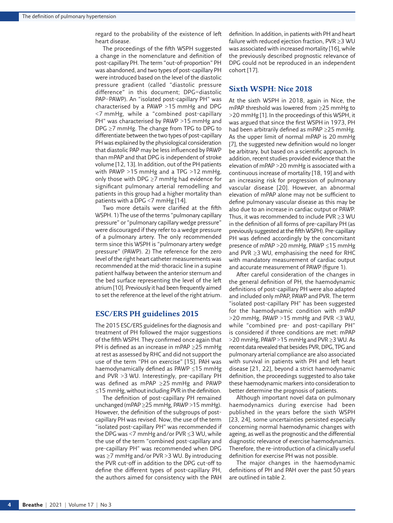regard to the probability of the existence of left heart disease.

The proceedings of the fifth WSPH suggested a change in the nomenclature and definition of post-capillary PH. The term "out-of-proportion" PH was abandoned, and two types of post-capillary PH were introduced based on the level of the diastolic pressure gradient (called "diastolic pressure difference" in this document; DPG=diastolic PAP−PAWP). An "isolated post-capillary PH" was characterised by a PAWP >15 mmHg and DPG <7 mmHg, while a "combined post-capillary PH" was characterised by PAWP >15 mmHg and DPG ≥7 mmHg. The change from TPG to DPG to differentiate between the two types of post-capillary PH was explained by the physiological consideration that diastolic PAP may be less influenced by PAWP than mPAP and that DPG is independent of stroke volume [\[12,](#page-7-11) [13](#page-7-12)]. In addition, out of the PH patients with PAWP >15 mmHg and a TPG >12 mmHg, only those with DPG ≥7 mmHg had evidence for significant pulmonary arterial remodelling and patients in this group had a higher mortality than patients with a DPG <7 mmHg [[14\]](#page-7-13).

Two more details were clarified at the fifth WSPH. 1) The use of the terms "pulmonary capillary pressure" or "pulmonary capillary wedge pressure" were discouraged if they refer to a wedge pressure of a pulmonary artery. The only recommended term since this WSPH is "pulmonary artery wedge pressure" (PAWP). 2) The reference for the zero level of the right heart catheter measurements was recommended at the mid-thoracic line in a supine patient halfway between the anterior sternum and the bed surface representing the level of the left atrium [[10](#page-7-9)]. Previously it had been frequently aimed to set the reference at the level of the right atrium.

#### **ESC/ERS PH guidelines 2015**

The 2015 ESC/ERS guidelines for the diagnosis and treatment of PH followed the major suggestions of the fifth WSPH. They confirmed once again that PH is defined as an increase in mPAP ≥25 mmHg at rest as assessed by RHC and did not support the use of the term "PH on exercise" [\[15](#page-7-14)]. PAH was haemodynamically defined as PAWP ≤15 mmHg and PVR >3 WU. Interestingly, pre-capillary PH was defined as mPAP ≥25 mmHg and PAWP ≤15 mmHg, without including PVR in the definition.

The definition of post-capillary PH remained unchanged (mPAP ≥25 mmHg, PAWP >15 mmHg). However, the definition of the subgroups of postcapillary PH was revised. Now, the use of the term "isolated post-capillary PH" was recommended if the DPG was <7 mmHg and/or PVR ≤3 WU, while the use of the term "combined post-capillary and pre-capillary PH" was recommended when DPG was ≥7 mmHg and/or PVR >3 WU. By introducing the PVR cut-off in addition to the DPG cut-off to define the different types of post-capillary PH, the authors aimed for consistency with the PAH definition. In addition, in patients with PH and heart failure with reduced ejection fraction, PVR ≥3 WU was associated with increased mortality [\[16\]](#page-7-15), while the previously described prognostic relevance of DPG could not be reproduced in an independent cohort [\[17\]](#page-7-16).

#### **Sixth WSPH: Nice 2018**

At the sixth WSPH in 2018, again in Nice, the mPAP threshold was lowered from ≥25 mmHg to >20 mmHg [\[1\]](#page-7-0). In the proceedings of this WSPH, it was argued that since the first WSPH in 1973, PH had been arbitrarily defined as mPAP ≥25 mmHg. As the upper limit of normal mPAP is 20 mmHg [[7](#page-7-6)], the suggested new definition would no longer be arbitrary, but based on a scientific approach. In addition, recent studies provided evidence that the elevation of mPAP >20 mmHg is associated with a continuous increase of mortality [\[18,](#page-7-17) [19\]](#page-7-18) and with an increasing risk for progression of pulmonary vascular disease [\[20](#page-7-19)]. However, an abnormal elevation of mPAP alone may not be sufficient to define pulmonary vascular disease as this may be also due to an increase in cardiac output or PAWP. Thus, it was recommended to include PVR ≥3 WU in the definition of all forms of pre-capillary PH (as previously suggested at the fifth WSPH). Pre-capillary PH was defined accordingly by the concomitant presence of mPAP >20 mmHg, PAWP ≤15 mmHg and PVR ≥3 WU, emphasising the need for RHC with mandatory measurement of cardiac output and accurate measurement of PAWP ([figure 1](#page-4-0)).

After careful consideration of the changes in the general definition of PH, the haemodynamic definitions of post-capillary PH were also adapted and included only mPAP, PAWP and PVR. The term "isolated post-capillary PH" has been suggested for the haemodynamic condition with mPAP >20 mmHg, PAWP >15 mmHg and PVR <3 WU, while "combined pre- and post-capillary PH" is considered if three conditions are met: mPAP >20 mmHg, PAWP >15 mmHg and PVR ≥3 WU. As recent data revealed that besides PVR, DPG, TPG and pulmonary arterial compliance are also associated with survival in patients with PH and left heart disease [[21](#page-7-20), [22](#page-7-21)], beyond a strict haemodynamic definition, the proceedings suggested to also take these haemodynamic markers into consideration to better determine the prognosis of patients.

Although important novel data on pulmonary haemodynamics during exercise had been published in the years before the sixth WSPH [[23,](#page-7-22) [24](#page-7-23)], some uncertainties persisted especially concerning normal haemodynamic changes with ageing, as well as the prognostic and the differential diagnostic relevance of exercise haemodynamics. Therefore, the re-introduction of a clinically useful definition for exercise PH was not possible.

The major changes in the haemodynamic definitions of PH and PAH over the past 50 years are outlined in [table 2.](#page-5-0)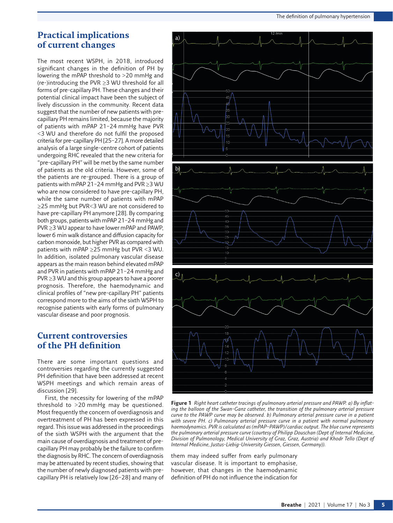### **Practical implications of current changes**

The most recent WSPH, in 2018, introduced significant changes in the definition of PH by lowering the mPAP threshold to >20 mmHg and (re-)introducing the PVR ≥3 WU threshold for all forms of pre-capillary PH. These changes and their potential clinical impact have been the subject of lively discussion in the community. Recent data suggest that the number of new patients with precapillary PH remains limited, because the majority of patients with mPAP 21–24 mmHg have PVR <3 WU and therefore do not fulfil the proposed criteria for pre-capillary PH [[25](#page-7-24)[–27\]](#page-7-25). A more detailed analysis of a large single-centre cohort of patients undergoing RHC revealed that the new criteria for "pre-capillary PH" will be met by the same number of patients as the old criteria. However, some of the patients are re-grouped. There is a group of patients with mPAP 21–24 mmHg and PVR ≥3 WU who are now considered to have pre-capillary PH, while the same number of patients with mPAP ≥25 mmHg but PVR<3 WU are not considered to have pre-capillary PH anymore [\[28\]](#page-7-26). By comparing both groups, patients with mPAP 21–24 mmHg and PVR ≥3 WU appear to have lower mPAP and PAWP, lower 6 min walk distance and diffusion capacity for carbon monoxide, but higher PVR as compared with patients with mPAP ≥25 mmHg but PVR <3 WU. In addition, isolated pulmonary vascular disease appears as the main reason behind elevated mPAP and PVR in patients with mPAP 21–24 mmHg and PVR ≥3 WU and this group appears to have a poorer prognosis. Therefore, the haemodynamic and clinical profiles of "new pre-capillary PH" patients correspond more to the aims of the sixth WSPH to recognise patients with early forms of pulmonary vascular disease and poor prognosis.

### **Current controversies of the PH definition**

There are some important questions and controversies regarding the currently suggested PH definition that have been addressed at recent WSPH meetings and which remain areas of discussion [\[29](#page-8-0)].

First, the necessity for lowering of the mPAP threshold to >20 mmHg may be questioned. Most frequently the concern of overdiagnosis and overtreatment of PH has been expressed in this regard. This issue was addressed in the proceedings of the sixth WSPH with the argument that the main cause of overdiagnosis and treatment of precapillary PH may probably be the failure to confirm the diagnosis by RHC. The concern of overdiagnosis may be attenuated by recent studies, showing that the number of newly diagnosed patients with precapillary PH is relatively low [[26–](#page-7-27)[28](#page-7-26)] and many of



<span id="page-4-0"></span>**Figure 1** *Right heart catheter tracings of pulmonary arterial pressure and PAWP. a) By inflating the balloon of the Swan-Ganz catheter, the transition of the pulmonary arterial pressure curve to the PAWP curve may be observed. b) Pulmonary arterial pressure curve in a patient with severe PH. c) Pulmonary arterial pressure curve in a patient with normal pulmonary haemodynamics. PVR is calculated as (mPAP–PAWP)/cardiac output. The blue curve represents the pulmonary arterial pressure curve (courtesy of Philipp Douschan (Dept of Internal Medicine, Division of Pulmonology, Medical University of Graz, Graz, Austria) and Khodr Tello (Dept of Internal Medicine, Justus-Liebig-University Giessen, Giessen, Germany)).*

them may indeed suffer from early pulmonary vascular disease. It is important to emphasise, however, that changes in the haemodynamic definition of PH do not influence the indication for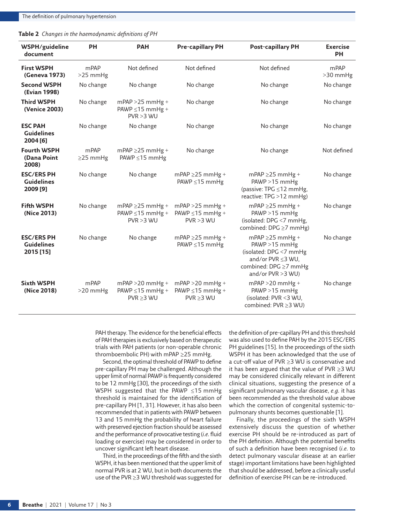<span id="page-5-0"></span>

| Table 2 Changes in the haemodynamic definitions of PH |  |  |
|-------------------------------------------------------|--|--|
|                                                       |  |  |

| WSPH/guideline<br>document                          | <b>PH</b>              | <b>PAH</b>                                                   | <b>Pre-capillary PH</b>                                   | <b>Post-capillary PH</b>                                                                                                               | <b>Exercise</b><br><b>PH</b> |
|-----------------------------------------------------|------------------------|--------------------------------------------------------------|-----------------------------------------------------------|----------------------------------------------------------------------------------------------------------------------------------------|------------------------------|
| <b>First WSPH</b><br>(Geneva 1973)                  | mPAP<br>>25 mmHg       | Not defined                                                  | Not defined                                               | Not defined                                                                                                                            | mPAP<br>>30 mmHg             |
| <b>Second WSPH</b><br>(Evian 1998)                  | No change              | No change                                                    | No change                                                 | No change                                                                                                                              | No change                    |
| <b>Third WSPH</b><br>(Venice 2003)                  | No change              | $mPAP > 25$ mmHg +<br>PAWP $\leq$ 15 mmHg +<br>PVR > 3 WU    | No change                                                 | No change                                                                                                                              | No change                    |
| <b>ESC PAH</b><br><b>Guidelines</b><br>2004 [6]     | No change              | No change                                                    | No change                                                 | No change                                                                                                                              | No change                    |
| <b>Fourth WSPH</b><br>(Dana Point<br>2008)          | mPAP<br>$\geq$ 25 mmHg | $mPAP \geq 25$ mmHg +<br>PAWP $\leq$ 15 mmHg                 | No change                                                 | No change                                                                                                                              | Not defined                  |
| <b>ESC/ERS PH</b><br><b>Guidelines</b><br>2009 [9]  | No change              | No change                                                    | $mPAP \geq 25$ mmHg +<br>PAWP ≤15 mmHg                    | $mPAP \geq 25$ mmHg +<br>PAWP >15 mmHg<br>(passive: TPG ≤12 mmHg,<br>reactive: TPG >12 mmHg)                                           | No change                    |
| <b>Fifth WSPH</b><br>(Nice 2013)                    | No change              | $mPAP \geq 25$ mmHg +<br>PAWP $\leq$ 15 mmHg +<br>PVR > 3 WU | $mPAP > 25$ mmHg +<br>PAWP $\leq$ 15 mmHg +<br>PVR > 3 WU | $mPAP \geq 25$ mmHg +<br>$PAWP > 15$ mmHg<br>(isolated: DPG <7 mmHg,<br>combined: DPG ≥7 mmHg)                                         | No change                    |
| <b>ESC/ERS PH</b><br><b>Guidelines</b><br>2015 [15] | No change              | No change                                                    | $mPAP \geq 25$ mmHg +<br>PAWP ≤15 mmHg                    | $mPAP \geq 25$ mmHg +<br>$PAWP > 15$ mmHg<br>(isolated: DPG <7 mmHg<br>and/or PVR <3 WU.<br>combined: DPG ≥7 mmHg<br>and/or PVR >3 WU) | No change                    |
| <b>Sixth WSPH</b><br>(Nice 2018)                    | mPAP<br>$>20$ mmHg     | $mPAP > 20$ mmHg +<br>PAWP $\leq$ 15 mmHg +<br>PVR > 3 WU    | $mPAP > 20$ mmHg +<br>PAWP $\leq$ 15 mmHg +<br>PVR > 3 WU | $mPAP > 20$ mmHg +<br>PAWP >15 mmHg<br>(isolated: PVR <3 WU,<br>combined: PVR ≥3 WU)                                                   | No change                    |

PAH therapy. The evidence for the beneficial effects of PAH therapies is exclusively based on therapeutic trials with PAH patients (or non-operable chronic thromboembolic PH) with mPAP ≥25 mmHg.

Second, the optimal threshold of PAWP to define pre-capillary PH may be challenged. Although the upper limit of normal PAWP is frequently considered to be 12 mmHg [[30\]](#page-8-1), the proceedings of the sixth WSPH suggested that the PAWP ≤15 mmHg threshold is maintained for the identification of pre-capillary PH [[1](#page-7-0), [31](#page-8-2)]. However, it has also been recommended that in patients with PAWP between 13 and 15 mmHg the probability of heart failure with preserved ejection fraction should be assessed and the performance of provocative testing (*i.e.* fluid loading or exercise) may be considered in order to uncover significant left heart disease.

Third, in the proceedings of the fifth and the sixth WSPH, it has been mentioned that the upper limit of normal PVR is at 2 WU, but in both documents the use of the PVR ≥3 WU threshold was suggested for the definition of pre-capillary PH and this threshold was also used to define PAH by the 2015 ESC/ERS PH guidelines [[15\]](#page-7-14). In the proceedings of the sixth WSPH it has been acknowledged that the use of a cut-off value of PVR ≥3 WU is conservative and it has been argued that the value of PVR ≥3 WU may be considered clinically relevant in different clinical situations, suggesting the presence of a significant pulmonary vascular disease, *e.g.* it has been recommended as the threshold value above which the correction of congenital systemic-topulmonary shunts becomes questionable [\[1\]](#page-7-0).

Finally, the proceedings of the sixth WSPH extensively discuss the question of whether exercise PH should be re-introduced as part of the PH definition. Although the potential benefits of such a definition have been recognised (*i.e.* to detect pulmonary vascular disease at an earlier stage) important limitations have been highlighted that should be addressed, before a clinically useful definition of exercise PH can be re-introduced.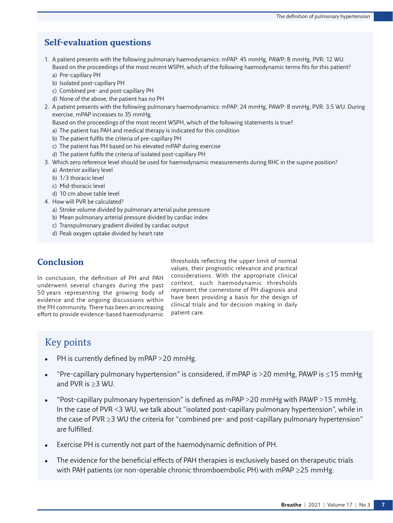# **Self-evaluation questions**

- 1. A patient presents with the following pulmonary haemodynamics: mPAP: 45 mmHg, PAWP: 8 mmHg, PVR: 12 WU. Based on the proceedings of the most recent WSPH, which of the following haemodynamic terms fits for this patient? a) Pre-capillary PH
	- b) Isolated post-capillary PH
	- c) Combined pre- and post-capillary PH
	- d) None of the above, the patient has no PH
- 2. A patient presents with the following pulmonary haemodynamics: mPAP: 24 mmHg, PAWP: 8 mmHg, PVR: 3.5 WU. During exercise, mPAP increases to 35 mmHg.

Based on the proceedings of the most recent WSPH, which of the following statements is true?

- a) The patient has PAH and medical therapy is indicated for this condition
- b) The patient fulfils the criteria of pre-capillary PH
- c) The patient has PH based on his elevated mPAP during exercise
- d) The patient fulfils the criteria of isolated post-capillary PH
- 3. Which zero reference level should be used for haemodynamic measurements during RHC in the supine position?
	- a) Anterior axillary level
	- b) 1/3 thoracic level
	- c) Mid-thoracic level
	- d) 10 cm above table level
- 4. How will PVR be calculated?
	- a) Stroke volume divided by pulmonary arterial pulse pressure
	- b) Mean pulmonary arterial pressure divided by cardiac index
	- c) Transpulmonary gradient divided by cardiac output
	- d) Peak oxygen uptake divided by heart rate

## **Conclusion**

In conclusion, the definition of PH and PAH underwent several changes during the past 50 years representing the growing body of evidence and the ongoing discussions within the PH community. There has been an increasing effort to provide evidence-based haemodynamic thresholds reflecting the upper limit of normal values, their prognostic relevance and practical considerations. With the appropriate clinical context, such haemodynamic thresholds represent the cornerstone of PH diagnosis and have been providing a basis for the design of clinical trials and for decision making in daily patient care.

# Key points

- PH is currently defined by mPAP  $>$  20 mmHg.
- "Pre-capillary pulmonary hypertension" is considered, if mPAP is >20 mmHg, PAWP is  $\leq$ 15 mmHg and PVR is ≥3 WU.
- "Post-capillary pulmonary hypertension" is defined as mPAP  $>$ 20 mmHg with PAWP  $>$ 15 mmHg. In the case of PVR <3 WU, we talk about "isolated post-capillary pulmonary hypertension", while in the case of PVR ≥3 WU the criteria for "combined pre- and post-capillary pulmonary hypertension" are fulfilled.
- Exercise PH is currently not part of the haemodynamic definition of PH.
- The evidence for the beneficial effects of PAH therapies is exclusively based on therapeutic trials with PAH patients (or non-operable chronic thromboembolic PH) with mPAP ≥25 mmHg.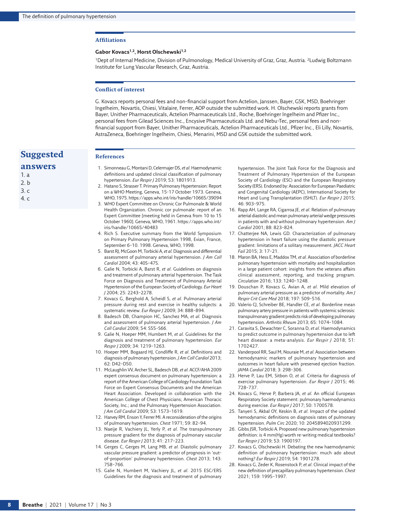#### **Affiliations**

**References**

#### Gabor Kovacs<sup>1,2</sup>, Horst Olschewski<sup>1,2</sup>

<sup>1</sup>Dept of Internal Medicine, Division of Pulmonology, Medical University of Graz, Graz, Austria. <sup>2</sup>Ludwig Boltzmann Institute for Lung Vascular Research, Graz, Austria.

#### **Conflict of interest**

G. Kovacs reports personal fees and non-financial support from Actelion, Janssen, Bayer, GSK, MSD, Boehringer Ingelheim, Novartis, Chiesi, Vitalaire, Ferrer, AOP outside the submitted work. H. Olschewski reports grants from Bayer, Unither Pharmaceuticals, Actelion Pharmaceuticals Ltd., Roche, Boehringer Ingelheim and Pfizer Inc., personal fees from Gilead Sciences Inc., Encysive Pharmaceuticals Ltd. and Nebu-Tec, personal fees and nonfinancial support from Bayer, Unither Pharmaceuticals, Actelion Pharmaceuticals Ltd., Pfizer Inc., Eli Lilly, Novartis, AstraZeneca, Boehringer Ingelheim, Chiesi, Menarini, MSD and GSK outside the submitted work.

### **Suggested**

- **answers**
- 1. a 2. b 3. c
- 4. c
- <span id="page-7-0"></span>1. Simonneau G, Montani D, Celermajer DS, *et al.* Haemodynamic definitions and updated clinical classification of pulmonary hypertension. *Eur Respir J* 2019; 53: 1801913.
- <span id="page-7-1"></span>2. Hatano S, Strasser T. Primary Pulmonary Hypertension: Report on a WHO Meeting, Geneva, 15-17 October 1973. Geneva, WHO, 1975.<https://apps.who.int/iris/handle/10665/39094>
- <span id="page-7-2"></span>3. WHO Expert Committee on Chronic Cor Pulmonale & World Health Organization. Chronic cor pulmonale: report of an Expert Committee [meeting held in Geneva from 10 to 15 October 1960]. Geneva, WHO, 1961. [https://apps.who.int/](https://apps.who.int/iris/handle/10665/40483) [iris/handle/10665/40483](https://apps.who.int/iris/handle/10665/40483)
- <span id="page-7-3"></span>4. Rich S. Executive summary from the World Symposium on Primary Pulmonary Hypertension 1998, Evian, France, September 6–10. 1998. Geneva, WHO, 1998.
- <span id="page-7-4"></span>5. Barst RJ, McGoon M, Torbicki A, *et al.* Diagnosis and differential assessment of pulmonary arterial hypertension. *J Am Coll Cardiol* 2004; 43: 40S–47S.
- <span id="page-7-5"></span>6. Galie N, Torbicki A, Barst R, *et al.* Guidelines on diagnosis and treatment of pulmonary arterial hypertension. The Task Force on Diagnosis and Treatment of Pulmonary Arterial Hypertension of the European Society of Cardiology. *Eur Heart J* 2004; 25: 2243–2278.
- <span id="page-7-6"></span>7. Kovacs G, Berghold A, Scheidl S, *et al.* Pulmonary arterial pressure during rest and exercise in healthy subjects: a systematic review. *Eur Respir J* 2009; 34: 888–894.
- <span id="page-7-7"></span>8. Badesch DB, Champion HC, Sanchez MA, *et al.* Diagnosis and assessment of pulmonary arterial hypertension. *J Am Coll Cardiol* 2009; 54: S55–S66.
- <span id="page-7-8"></span>9. Galie N, Hoeper MM, Humbert M, *et al.* Guidelines for the diagnosis and treatment of pulmonary hypertension. *Eur Respir J* 2009; 34: 1219–1263.
- <span id="page-7-9"></span>10. Hoeper MM, Bogaard HJ, Condliffe R, *et al.* Definitions and diagnosis of pulmonary hypertension. *J Am Coll Cardiol* 2013; 62: D42–D50.
- <span id="page-7-10"></span>11. McLaughlin VV, Archer SL, Badesch DB, *et al.* ACCF/AHA 2009 expert consensus document on pulmonary hypertension: a report of the American College of Cardiology Foundation Task Force on Expert Consensus Documents and the American Heart Association. Developed in collaboration with the American College of Chest Physicians; American Thoracic Society, Inc.; and the Pulmonary Hypertension Association. *J Am Coll Cardiol* 2009; 53: 1573–1619.
- <span id="page-7-11"></span>12. Harvey RM, Enson Y, Ferrer MI. A reconsideration of the origins of pulmonary hypertension. *Chest* 1971; 59: 82–94.
- <span id="page-7-12"></span>13. Naeije R, Vachiery JL, Yerly P, *et al.* The transpulmonary pressure gradient for the diagnosis of pulmonary vascular disease. *Eur Respir J* 2013; 41: 217–223.
- <span id="page-7-13"></span>14. Gerges C, Gerges M, Lang MB, *et al.* Diastolic pulmonary vascular pressure gradient: a predictor of prognosis in 'outof-proportion' pulmonary hypertension. *Chest* 2013; 143: 758–766.
- <span id="page-7-14"></span>15. Galie N, Humbert M, Vachiery JL, *et al.* 2015 ESC/ERS Guidelines for the diagnosis and treatment of pulmonary

hypertension. The Joint Task Force for the Diagnosis and Treatment of Pulmonary Hypertension of the European Society of Cardiology (ESC) and the European Respiratory Society (ERS). Endorsed by: Association for European Paediatric and Congenital Cardiology (AEPC), International Society for Heart and Lung Transplantation (ISHLT). *Eur Respir J* 2015; 46: 903–975.

- <span id="page-7-15"></span>16. Rapp AH, Lange RA, Cigarroa JE, *et al.* Relation of pulmonary arterial diastolic and mean pulmonary arterial wedge pressures in patients with and without pulmonary hypertension. *Am J Cardiol* 2001; 88: 823–824.
- <span id="page-7-16"></span>17. Chatterjee NA, Lewis GD. Characterization of pulmonary hypertension in heart failure using the diastolic pressure gradient: limitations of a solitary measurement. *JACC Heart Fail* 2015; 3: 17–21.
- <span id="page-7-17"></span>18. Maron BA, Hess E, Maddox TM, *et al.* Association of borderline pulmonary hypertension with mortality and hospitalization in a large patient cohort: insights from the veterans affairs clinical assessment, reporting, and tracking program. *Circulation* 2016; 133: 1240–1248.
- <span id="page-7-18"></span>19. Douschan P, Kovacs G, Avian A, *et al.* Mild elevation of pulmonary arterial pressure as a predictor of mortality. *Am J Respir Crit Care Med* 2018; 197: 509–516.
- <span id="page-7-19"></span>20. Valerio CJ, Schreiber BE, Handler CE, *et al.* Borderline mean pulmonary artery pressure in patients with systemic sclerosis: transpulmonary gradient predicts risk of developing pulmonary hypertension. *Arthritis Rheum* 2013; 65: 1074–1084.
- <span id="page-7-20"></span>21. Caravita S, Dewachter C, Soranna D, *et al.* Haemodynamics to predict outcome in pulmonary hypertension due to left heart disease: a meta-analysis. *Eur Respir J* 2018; 51: 1702427.
- <span id="page-7-21"></span>22. Vanderpool RR, Saul M, Nouraie M, *et al.* Association between hemodynamic markers of pulmonary hypertension and outcomes in heart failure with preserved ejection fraction. *JAMA Cardiol* 2018; 3: 298–306.
- <span id="page-7-22"></span>23. Herve P, Lau EM, Sitbon O, *et al.* Criteria for diagnosis of exercise pulmonary hypertension. *Eur Respir J* 2015; 46: 728–737.
- <span id="page-7-23"></span>24. Kovacs G, Herve P, Barbera JA, *et al.* An official European Respiratory Society statement: pulmonary haemodynamics during exercise. *Eur Respir J* 2017; 50: 1700578.
- <span id="page-7-24"></span>25. Tanyeri S, Akbal OY, Keskin B, *et al.* Impact of the updated hemodynamic definitions on diagnosis rates of pulmonary hypertension. *Pulm Circ* 2020; 10: 2045894020931299.
- <span id="page-7-27"></span>26. Gibbs JSR, Torbicki A. Proposed new pulmonary hypertension definition: is 4 mm(Hg) worth re-writing medical textbooks? *Eur Respir J* 2019; 53: 1900197.
- <span id="page-7-25"></span>27. Kovacs G, Olschewski H. Debating the new haemodynamic definition of pulmonary hypertension: much ado about nothing? *Eur Respir J* 2019; 54: 1901278.
- <span id="page-7-26"></span>28. Kovacs G, Zeder K, Rosenstock P, *et al.* Clinical impact of the new definition of precapillary pulmonary hypertension. *Chest* 2021; 159: 1995–1997.